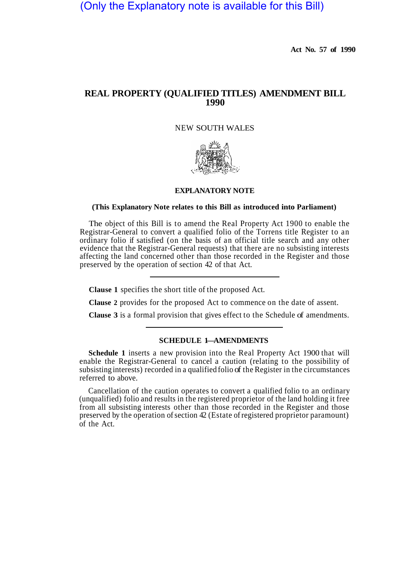(Only the Explanatory note is available for this Bill)

**Act No. 57 of 1990** 

## **REAL PROPERTY (QUALIFIED TITLES) AMENDMENT BILL 1990**

NEW SOUTH WALES



## **EXPLANATORY NOTE**

## **(This Explanatory Note relates to this Bill as introduced into Parliament)**

The object of this Bill is to amend the Real Property Act 1900 to enable the Registrar-General to convert a qualified folio of the Torrens title Register to an ordinary folio if satisfied (on the basis of an official title search and any other evidence that the Registrar-General requests) that there are no subsisting interests affecting the land concerned other than those recorded in the Register and those preserved by the operation of section 42 of that Act.

**Clause 1** specifies the short title of the proposed Act.

**Clause 2** provides for the proposed Act to commence on the date of assent.

**Clause 3** is a formal provision that gives effect to the Schedule of amendments.

## **SCHEDULE 1-AMENDMENTS**

**Schedule 1** inserts a new provision into the Real Property Act 1900 that will enable the Registrar-General to cancel a caution (relating to the possibility of subsisting interests) recorded in a qualified folio of the Register in the circumstances referred to above.

Cancellation of the caution operates to convert a qualified folio to an ordinary (unqualified) folio and results in the registered proprietor of the land holding it free from all subsisting interests other than those recorded in the Register and those preserved by the operation of section 42 (Estate of registered proprietor paramount) of the Act.